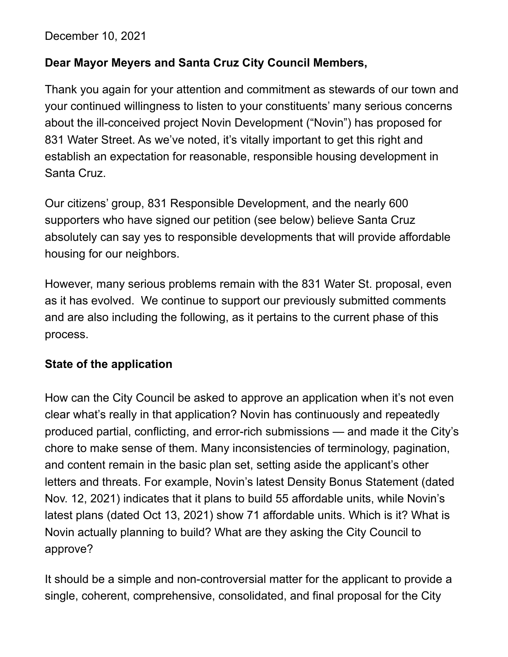December 10, 2021

#### **Dear Mayor Meyers and Santa Cruz City Council Members,**

Thank you again for your attention and commitment as stewards of our town and your continued willingness to listen to your constituents' many serious concerns about the ill-conceived project Novin Development ("Novin") has proposed for 831 Water Street. As we've noted, it's vitally important to get this right and establish an expectation for reasonable, responsible housing development in Santa Cruz.

Our citizens' group, 831 Responsible Development, and the nearly 600 supporters who have signed our petition (see below) believe Santa Cruz absolutely can say yes to responsible developments that will provide affordable housing for our neighbors.

However, many serious problems remain with the 831 Water St. proposal, even as it has evolved. We continue to support our previously submitted comments and are also including the following, as it pertains to the current phase of this process.

#### **State of the application**

How can the City Council be asked to approve an application when it's not even clear what's really in that application? Novin has continuously and repeatedly produced partial, conflicting, and error-rich submissions — and made it the City's chore to make sense of them. Many inconsistencies of terminology, pagination, and content remain in the basic plan set, setting aside the applicant's other letters and threats. For example, Novin's latest Density Bonus Statement (dated Nov. 12, 2021) indicates that it plans to build 55 affordable units, while Novin's latest plans (dated Oct 13, 2021) show 71 affordable units. Which is it? What is Novin actually planning to build? What are they asking the City Council to approve?

It should be a simple and non-controversial matter for the applicant to provide a single, coherent, comprehensive, consolidated, and final proposal for the City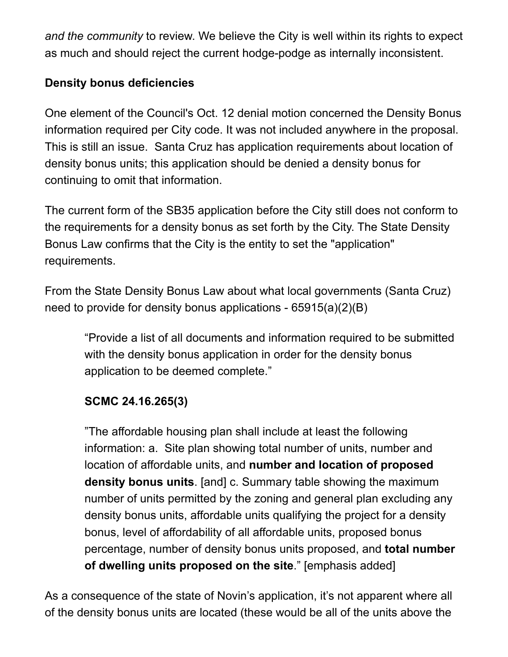*and the community* to review. We believe the City is well within its rights to expect as much and should reject the current hodge-podge as internally inconsistent.

## **Density bonus deficiencies**

One element of the Council's Oct. 12 denial motion concerned the Density Bonus information required per City code. It was not included anywhere in the proposal. This is still an issue. Santa Cruz has application requirements about location of density bonus units; this application should be denied a density bonus for continuing to omit that information.

The current form of the SB35 application before the City still does not conform to the requirements for a density bonus as set forth by the City. The State Density Bonus Law confirms that the City is the entity to set the "application" requirements.

From the State Density Bonus Law about what local governments (Santa Cruz) need to provide for density bonus applications - 65915(a)(2)(B)

"Provide a list of all documents and information required to be submitted with the density bonus application in order for the density bonus application to be deemed complete."

## **SCMC 24.16.265(3)**

"The affordable housing plan shall include at least the following information: a. Site plan showing total number of units, number and location of affordable units, and **number and location of proposed density bonus units**. [and] c. Summary table showing the maximum number of units permitted by the zoning and general plan excluding any density bonus units, affordable units qualifying the project for a density bonus, level of affordability of all affordable units, proposed bonus percentage, number of density bonus units proposed, and **total number of dwelling units proposed on the site**." [emphasis added]

As a consequence of the state of Novin's application, it's not apparent where all of the density bonus units are located (these would be all of the units above the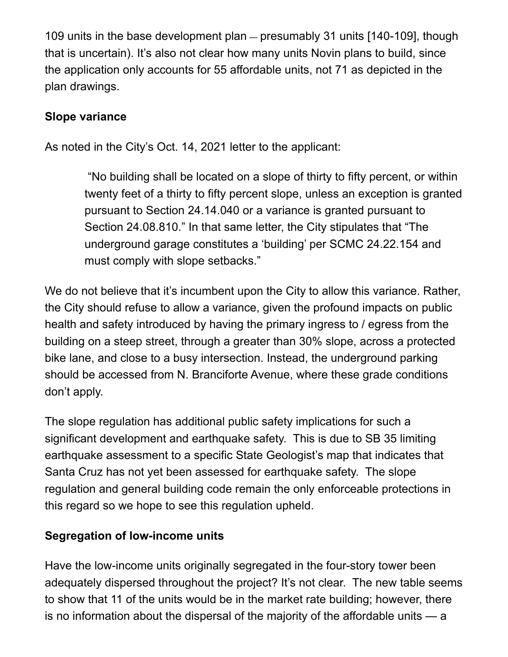109 units in the base development plan — presumably 31 units [140-109], though that is uncertain). It's also not clear how many units Novin plans to build, since the application only accounts for 55 affordable units, not 71 as depicted in the plan drawings.

#### **Slope variance**

As noted in the City's Oct. 14, 2021 letter to the applicant:

 "No building shall be located on a slope of thirty to fifty percent, or within twenty feet of a thirty to fifty percent slope, unless an exception is granted pursuant to Section 24.14.040 or a variance is granted pursuant to Section 24.08.810." In that same letter, the City stipulates that "The underground garage constitutes a 'building' per SCMC 24.22.154 and must comply with slope setbacks."

We do not believe that it's incumbent upon the City to allow this variance. Rather, the City should refuse to allow a variance, given the profound impacts on public health and safety introduced by having the primary ingress to / egress from the building on a steep street, through a greater than 30% slope, across a protected bike lane, and close to a busy intersection. Instead, the underground parking should be accessed from N. Branciforte Avenue, where these grade conditions don't apply.

The slope regulation has additional public safety implications for such a significant development and earthquake safety. This is due to SB 35 limiting earthquake assessment to a specific State Geologist's map that indicates that Santa Cruz has not yet been assessed for earthquake safety. The slope regulation and general building code remain the only enforceable protections in this regard so we hope to see this regulation upheld.

#### **Segregation of low-income units**

Have the low-income units originally segregated in the four-story tower been adequately dispersed throughout the project? It's not clear. The new table seems to show that 11 of the units would be in the market rate building; however, there is no information about the dispersal of the majority of the affordable units — a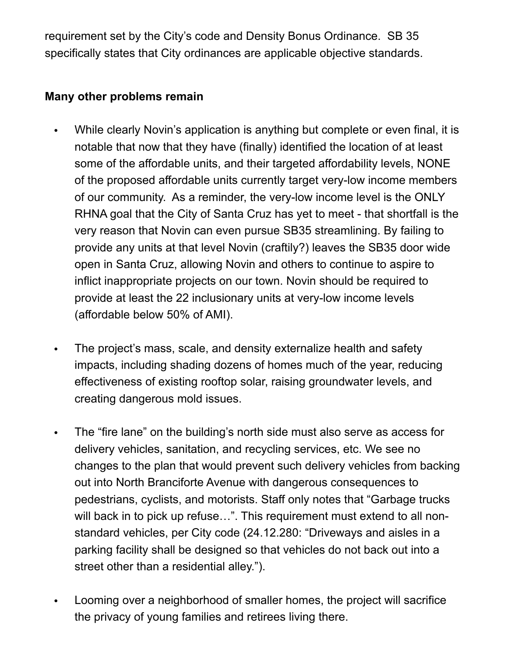requirement set by the City's code and Density Bonus Ordinance. SB 35 specifically states that City ordinances are applicable objective standards.

#### **Many other problems remain**

- While clearly Novin's application is anything but complete or even final, it is notable that now that they have (finally) identified the location of at least some of the affordable units, and their targeted affordability levels, NONE of the proposed affordable units currently target very-low income members of our community. As a reminder, the very-low income level is the ONLY RHNA goal that the City of Santa Cruz has yet to meet - that shortfall is the very reason that Novin can even pursue SB35 streamlining. By failing to provide any units at that level Novin (craftily?) leaves the SB35 door wide open in Santa Cruz, allowing Novin and others to continue to aspire to inflict inappropriate projects on our town. Novin should be required to provide at least the 22 inclusionary units at very-low income levels (affordable below 50% of AMI).
- The project's mass, scale, and density externalize health and safety impacts, including shading dozens of homes much of the year, reducing effectiveness of existing rooftop solar, raising groundwater levels, and creating dangerous mold issues.
- The "fire lane" on the building's north side must also serve as access for delivery vehicles, sanitation, and recycling services, etc. We see no changes to the plan that would prevent such delivery vehicles from backing out into North Branciforte Avenue with dangerous consequences to pedestrians, cyclists, and motorists. Staff only notes that "Garbage trucks will back in to pick up refuse...". This requirement must extend to all nonstandard vehicles, per City code (24.12.280: "Driveways and aisles in a parking facility shall be designed so that vehicles do not back out into a street other than a residential alley.").
- Looming over a neighborhood of smaller homes, the project will sacrifice the privacy of young families and retirees living there.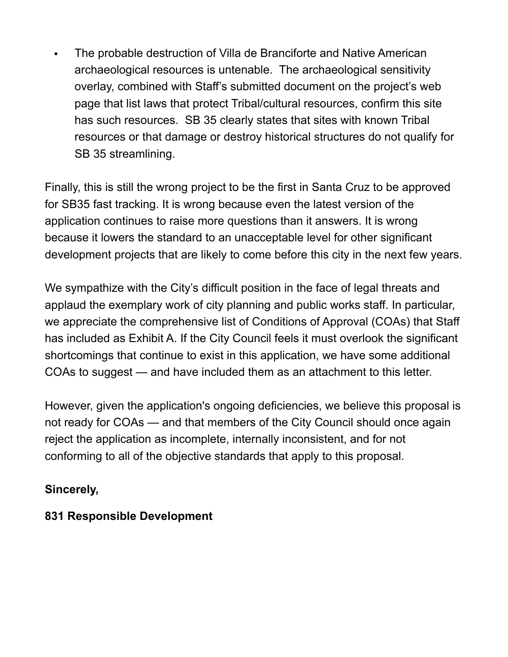• The probable destruction of Villa de Branciforte and Native American archaeological resources is untenable. The archaeological sensitivity overlay, combined with Staff's submitted document on the project's web page that list laws that protect Tribal/cultural resources, confirm this site has such resources. SB 35 clearly states that sites with known Tribal resources or that damage or destroy historical structures do not qualify for SB 35 streamlining.

Finally, this is still the wrong project to be the first in Santa Cruz to be approved for SB35 fast tracking. It is wrong because even the latest version of the application continues to raise more questions than it answers. It is wrong because it lowers the standard to an unacceptable level for other significant development projects that are likely to come before this city in the next few years.

We sympathize with the City's difficult position in the face of legal threats and applaud the exemplary work of city planning and public works staff. In particular, we appreciate the comprehensive list of Conditions of Approval (COAs) that Staff has included as Exhibit A. If the City Council feels it must overlook the significant shortcomings that continue to exist in this application, we have some additional COAs to suggest — and have included them as an attachment to this letter.

However, given the application's ongoing deficiencies, we believe this proposal is not ready for COAs — and that members of the City Council should once again reject the application as incomplete, internally inconsistent, and for not conforming to all of the objective standards that apply to this proposal.

## **Sincerely,**

## **831 Responsible Development**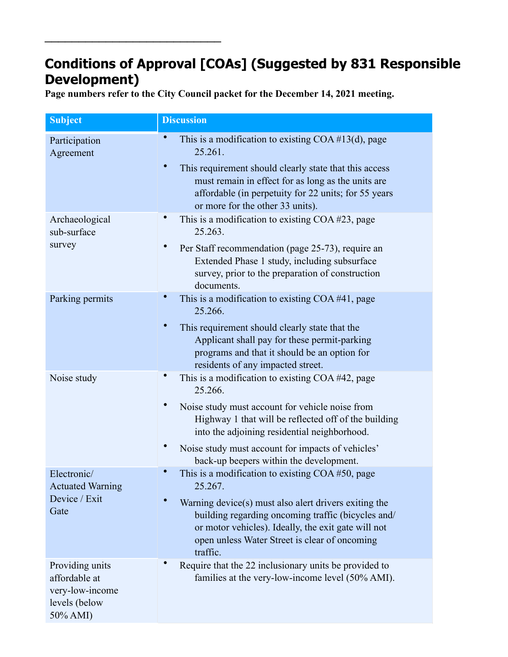# **Conditions of Approval [COAs] (Suggested by 831 Responsible Development)**

**Page numbers refer to the City Council packet for the December 14, 2021 meeting.**

\_\_\_\_\_\_\_\_\_\_\_\_\_\_\_\_\_\_\_\_\_\_\_\_\_\_

| <b>Subject</b>                                                                   | <b>Discussion</b>                                                                                                                                                                                                               |
|----------------------------------------------------------------------------------|---------------------------------------------------------------------------------------------------------------------------------------------------------------------------------------------------------------------------------|
| Participation<br>Agreement                                                       | $\bullet$<br>This is a modification to existing $COA \#13(d)$ , page<br>25.261.                                                                                                                                                 |
|                                                                                  | This requirement should clearly state that this access<br>must remain in effect for as long as the units are<br>affordable (in perpetuity for 22 units; for 55 years)<br>or more for the other 33 units).                       |
| Archaeological<br>sub-surface                                                    | This is a modification to existing COA #23, page<br>25.263.                                                                                                                                                                     |
| survey                                                                           | Per Staff recommendation (page 25-73), require an<br>Extended Phase 1 study, including subsurface<br>survey, prior to the preparation of construction<br>documents.                                                             |
| Parking permits                                                                  | This is a modification to existing COA #41, page<br>25.266.                                                                                                                                                                     |
|                                                                                  | This requirement should clearly state that the<br>Applicant shall pay for these permit-parking<br>programs and that it should be an option for<br>residents of any impacted street.                                             |
| Noise study                                                                      | This is a modification to existing COA #42, page<br>25.266.                                                                                                                                                                     |
|                                                                                  | Noise study must account for vehicle noise from<br>Highway 1 that will be reflected off of the building<br>into the adjoining residential neighborhood.                                                                         |
|                                                                                  | Noise study must account for impacts of vehicles'<br>back-up beepers within the development.                                                                                                                                    |
| Electronic/<br><b>Actuated Warning</b>                                           | This is a modification to existing COA #50, page<br>25.267.                                                                                                                                                                     |
| Device / Exit<br>Gate                                                            | Warning device(s) must also alert drivers exiting the<br>building regarding oncoming traffic (bicycles and/<br>or motor vehicles). Ideally, the exit gate will not<br>open unless Water Street is clear of oncoming<br>traffic. |
| Providing units<br>affordable at<br>very-low-income<br>levels (below<br>50% AMI) | Require that the 22 inclusionary units be provided to<br>families at the very-low-income level (50% AMI).                                                                                                                       |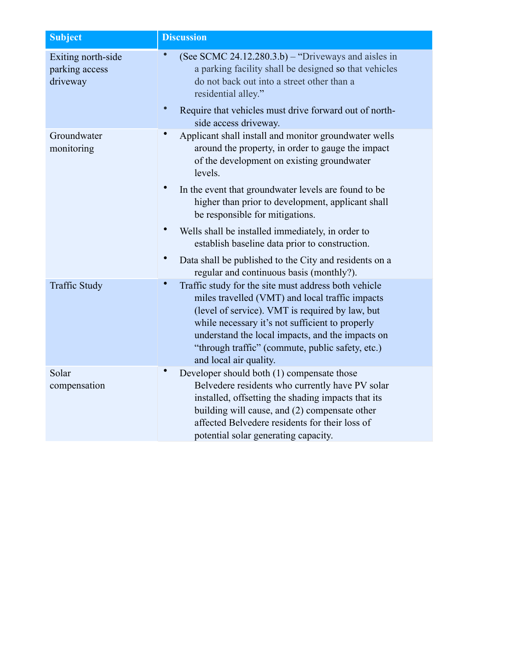| <b>Subject</b>                                   | <b>Discussion</b>                                                                                                                                                                                                                                                                                                                               |
|--------------------------------------------------|-------------------------------------------------------------------------------------------------------------------------------------------------------------------------------------------------------------------------------------------------------------------------------------------------------------------------------------------------|
| Exiting north-side<br>parking access<br>driveway | (See SCMC 24.12.280.3.b) – "Driveways and aisles in<br>a parking facility shall be designed so that vehicles<br>do not back out into a street other than a<br>residential alley."                                                                                                                                                               |
|                                                  | Require that vehicles must drive forward out of north-<br>side access driveway.                                                                                                                                                                                                                                                                 |
| Groundwater<br>monitoring                        | Applicant shall install and monitor groundwater wells<br>around the property, in order to gauge the impact<br>of the development on existing groundwater<br>levels.                                                                                                                                                                             |
|                                                  | $\bullet$<br>In the event that groundwater levels are found to be<br>higher than prior to development, applicant shall<br>be responsible for mitigations.                                                                                                                                                                                       |
|                                                  | Wells shall be installed immediately, in order to<br>establish baseline data prior to construction.                                                                                                                                                                                                                                             |
|                                                  | Data shall be published to the City and residents on a<br>regular and continuous basis (monthly?).                                                                                                                                                                                                                                              |
| <b>Traffic Study</b>                             | Traffic study for the site must address both vehicle<br>miles travelled (VMT) and local traffic impacts<br>(level of service). VMT is required by law, but<br>while necessary it's not sufficient to properly<br>understand the local impacts, and the impacts on<br>"through traffic" (commute, public safety, etc.)<br>and local air quality. |
| Solar<br>compensation                            | Developer should both (1) compensate those<br>Belvedere residents who currently have PV solar<br>installed, offsetting the shading impacts that its<br>building will cause, and (2) compensate other<br>affected Belvedere residents for their loss of<br>potential solar generating capacity.                                                  |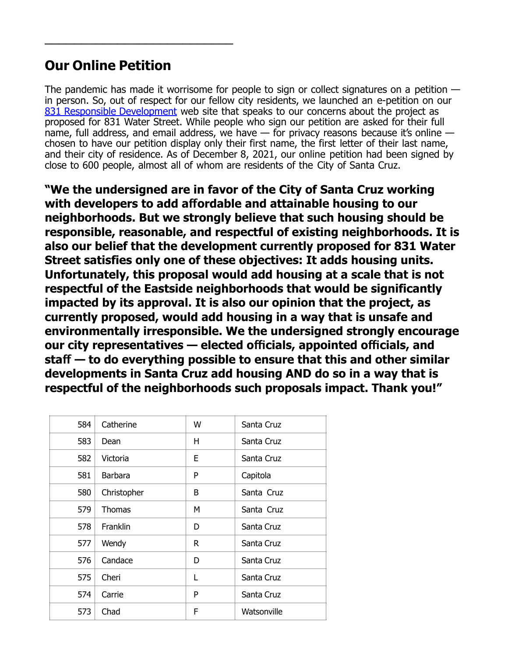## **Our Online Petition**

 $\overline{\phantom{a}}$  , which is a set of the set of the set of the set of the set of the set of the set of the set of the set of the set of the set of the set of the set of the set of the set of the set of the set of the set of th

The pandemic has made it worrisome for people to sign or collect signatures on a petition in person. So, out of respect for our fellow city residents, we launched an e-petition on our [831 Responsible Development](http://www.831ResponsibleDevelopment.org) web site that speaks to our concerns about the project as proposed for 831 Water Street. While people who sign our petition are asked for their full name, full address, and email address, we have  $-$  for privacy reasons because it's online  $$ chosen to have our petition display only their first name, the first letter of their last name, and their city of residence. As of December 8, 2021, our online petition had been signed by close to 600 people, almost all of whom are residents of the City of Santa Cruz.

**"We the undersigned are in favor of the City of Santa Cruz working with developers to add afordable and attainable housing to our neighborhoods. But we strongly believe that such housing should be responsible, reasonable, and respectful of existing neighborhoods. It is also our belief that the development currently proposed for 831 Water Street satisfies only one of these objectives: It adds housing units. Unfortunately, this proposal would add housing at a scale that is not respectful of the Eastside neighborhoods that would be significantly impacted by its approval. It is also our opinion that the project, as currently proposed, would add housing in a way that is unsafe and environmentally irresponsible. We the undersigned strongly encourage our city representatives — elected ofcials, appointed ofcials, and staf — to do everything possible to ensure that this and other similar developments in Santa Cruz add housing AND do so in a way that is respectful of the neighborhoods such proposals impact. Thank you!"**

| 584 | Catherine      | W  | Santa Cruz  |
|-----|----------------|----|-------------|
| 583 | Dean           | н  | Santa Cruz  |
| 582 | Victoria       | Е  | Santa Cruz  |
| 581 | <b>Barbara</b> | P  | Capitola    |
| 580 | Christopher    | B  | Santa Cruz  |
| 579 | Thomas         | М  | Santa Cruz  |
| 578 | Franklin       | D  | Santa Cruz  |
| 577 | Wendy          | R. | Santa Cruz  |
| 576 | Candace        | D  | Santa Cruz  |
| 575 | Cheri          | L  | Santa Cruz  |
| 574 | Carrie         | P  | Santa Cruz  |
| 573 | Chad           | F  | Watsonville |
|     |                |    |             |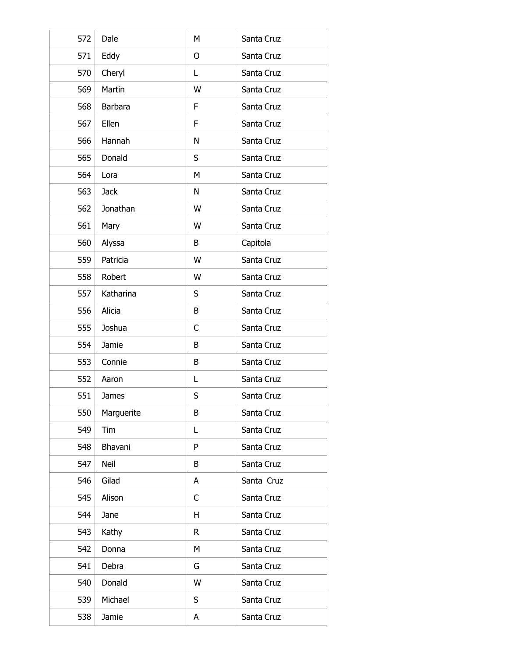| 572 | Dale        | М            | Santa Cruz |
|-----|-------------|--------------|------------|
| 571 | Eddy        | O            | Santa Cruz |
| 570 | Cheryl      | L            | Santa Cruz |
| 569 | Martin      | W            | Santa Cruz |
| 568 | Barbara     | F            | Santa Cruz |
| 567 | Ellen       | F            | Santa Cruz |
| 566 | Hannah      | N            | Santa Cruz |
| 565 | Donald      | S            | Santa Cruz |
| 564 | Lora        | М            | Santa Cruz |
| 563 | <b>Jack</b> | N            | Santa Cruz |
| 562 | Jonathan    | W            | Santa Cruz |
| 561 | Mary        | W            | Santa Cruz |
| 560 | Alyssa      | B            | Capitola   |
| 559 | Patricia    | W            | Santa Cruz |
| 558 | Robert      | W            | Santa Cruz |
| 557 | Katharina   | S            | Santa Cruz |
| 556 | Alicia      | B            | Santa Cruz |
| 555 | Joshua      | C            | Santa Cruz |
| 554 | Jamie       | B            | Santa Cruz |
| 553 | Connie      | B            | Santa Cruz |
| 552 | Aaron       | Г            | Santa Cruz |
| 551 | James       | S            | Santa Cruz |
| 550 | Marguerite  | B            | Santa Cruz |
| 549 | Tim         | L            | Santa Cruz |
| 548 | Bhavani     | P            | Santa Cruz |
| 547 | Neil        | B            | Santa Cruz |
| 546 | Gilad       | A            | Santa Cruz |
| 545 | Alison      | C            | Santa Cruz |
| 544 | Jane        | H            | Santa Cruz |
| 543 | Kathy       | $\mathsf{R}$ | Santa Cruz |
| 542 | Donna       | M            | Santa Cruz |
| 541 | Debra       | G            | Santa Cruz |
| 540 | Donald      | W            | Santa Cruz |
| 539 | Michael     | S            | Santa Cruz |
| 538 | Jamie       | А            | Santa Cruz |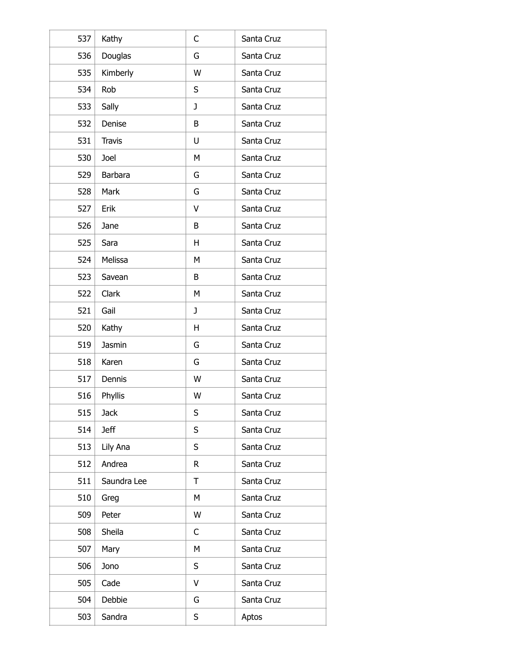| 537 | Kathy         | C | Santa Cruz |
|-----|---------------|---|------------|
| 536 | Douglas       | G | Santa Cruz |
| 535 | Kimberly      | W | Santa Cruz |
| 534 | Rob           | S | Santa Cruz |
| 533 | Sally         | J | Santa Cruz |
| 532 | Denise        | B | Santa Cruz |
| 531 | <b>Travis</b> | U | Santa Cruz |
| 530 | Joel          | M | Santa Cruz |
| 529 | Barbara       | G | Santa Cruz |
| 528 | Mark          | G | Santa Cruz |
| 527 | Erik          | V | Santa Cruz |
| 526 | Jane          | B | Santa Cruz |
| 525 | Sara          | H | Santa Cruz |
| 524 | Melissa       | М | Santa Cruz |
| 523 | Savean        | B | Santa Cruz |
| 522 | Clark         | M | Santa Cruz |
| 521 | Gail          | J | Santa Cruz |
| 520 | Kathy         | H | Santa Cruz |
| 519 | Jasmin        | G | Santa Cruz |
| 518 | Karen         | G | Santa Cruz |
| 517 | Dennis        | W | Santa Cruz |
| 516 | Phyllis       | W | Santa Cruz |
| 515 | <b>Jack</b>   | S | Santa Cruz |
| 514 | <b>Jeff</b>   | S | Santa Cruz |
| 513 | Lily Ana      | S | Santa Cruz |
| 512 | Andrea        | R | Santa Cruz |
| 511 | Saundra Lee   | Τ | Santa Cruz |
| 510 | Greg          | М | Santa Cruz |
| 509 | Peter         | W | Santa Cruz |
| 508 | Sheila        | C | Santa Cruz |
| 507 | Mary          | М | Santa Cruz |
| 506 | Jono          | S | Santa Cruz |
| 505 | Cade          | V | Santa Cruz |
| 504 | Debbie        | G | Santa Cruz |
| 503 | Sandra        | S | Aptos      |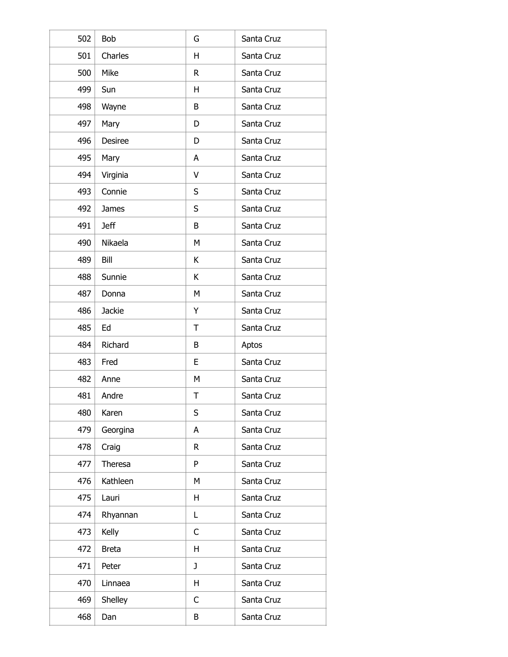| 502 | Bob           | G            | Santa Cruz |
|-----|---------------|--------------|------------|
| 501 | Charles       | H            | Santa Cruz |
| 500 | Mike          | $\mathsf{R}$ | Santa Cruz |
| 499 | Sun           | H            | Santa Cruz |
| 498 | Wayne         | B            | Santa Cruz |
| 497 | Mary          | D            | Santa Cruz |
| 496 | Desiree       | D            | Santa Cruz |
| 495 | Mary          | A            | Santa Cruz |
| 494 | Virginia      | V            | Santa Cruz |
| 493 | Connie        | S            | Santa Cruz |
| 492 | James         | S            | Santa Cruz |
| 491 | <b>Jeff</b>   | B            | Santa Cruz |
| 490 | Nikaela       | М            | Santa Cruz |
| 489 | Bill          | К            | Santa Cruz |
| 488 | Sunnie        | К            | Santa Cruz |
| 487 | Donna         | М            | Santa Cruz |
| 486 | <b>Jackie</b> | Y            | Santa Cruz |
| 485 | Ed            | Τ            | Santa Cruz |
| 484 | Richard       | B            | Aptos      |
| 483 | Fred          | E            | Santa Cruz |
| 482 | Anne          | M            | Santa Cruz |
| 481 | Andre         | Τ            | Santa Cruz |
| 480 | Karen         | S            | Santa Cruz |
| 479 | Georgina      | A            | Santa Cruz |
| 478 | Craig         | R            | Santa Cruz |
| 477 | Theresa       | P            | Santa Cruz |
| 476 | Kathleen      | M            | Santa Cruz |
| 475 | Lauri         | H            | Santa Cruz |
| 474 | Rhyannan      | L            | Santa Cruz |
| 473 | Kelly         | $\mathsf C$  | Santa Cruz |
| 472 | <b>Breta</b>  | Н            | Santa Cruz |
| 471 | Peter         | J            | Santa Cruz |
| 470 | Linnaea       | H            | Santa Cruz |
| 469 | Shelley       | C            | Santa Cruz |
| 468 | Dan           | В            | Santa Cruz |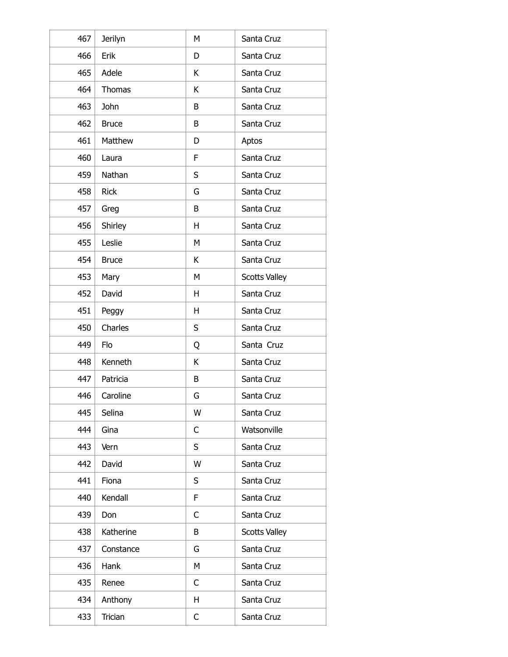| 467 | Jerilyn       | M | Santa Cruz           |
|-----|---------------|---|----------------------|
| 466 | Erik          | D | Santa Cruz           |
| 465 | Adele         | K | Santa Cruz           |
| 464 | <b>Thomas</b> | К | Santa Cruz           |
| 463 | John          | B | Santa Cruz           |
| 462 | <b>Bruce</b>  | B | Santa Cruz           |
| 461 | Matthew       | D | Aptos                |
| 460 | Laura         | F | Santa Cruz           |
| 459 | Nathan        | S | Santa Cruz           |
| 458 | <b>Rick</b>   | G | Santa Cruz           |
| 457 | Greg          | B | Santa Cruz           |
| 456 | Shirley       | H | Santa Cruz           |
| 455 | Leslie        | M | Santa Cruz           |
| 454 | <b>Bruce</b>  | K | Santa Cruz           |
| 453 | Mary          | M | <b>Scotts Valley</b> |
| 452 | David         | H | Santa Cruz           |
| 451 | Peggy         | H | Santa Cruz           |
| 450 | Charles       | S | Santa Cruz           |
| 449 | Flo           | Q | Santa Cruz           |
| 448 | Kenneth       | К | Santa Cruz           |
| 447 | Patricia      | B | Santa Cruz           |
| 446 | Caroline      | G | Santa Cruz           |
| 445 | Selina        | W | Santa Cruz           |
| 444 | Gina          | C | Watsonville          |
| 443 | Vern          | S | Santa Cruz           |
| 442 | David         | W | Santa Cruz           |
| 441 | Fiona         | S | Santa Cruz           |
| 440 | Kendall       | F | Santa Cruz           |
| 439 | Don           | C | Santa Cruz           |
| 438 | Katherine     | B | <b>Scotts Valley</b> |
| 437 | Constance     | G | Santa Cruz           |
| 436 | Hank          | M | Santa Cruz           |
| 435 | Renee         | C | Santa Cruz           |
| 434 | Anthony       | Н | Santa Cruz           |
| 433 | Trician       | C | Santa Cruz           |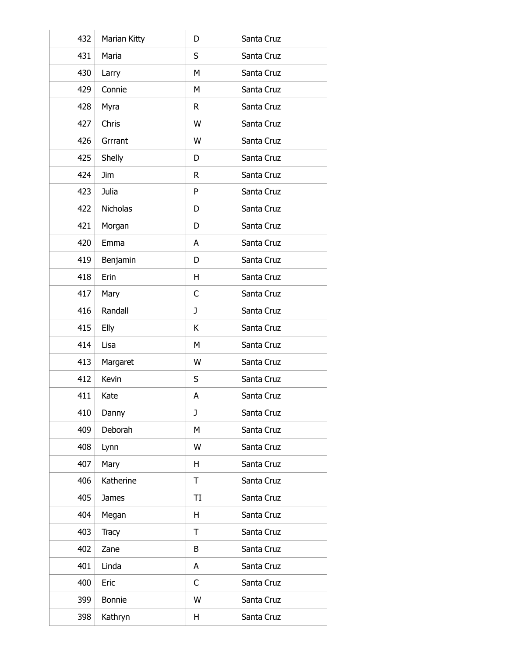| 432 | Marian Kitty    | D  | Santa Cruz |
|-----|-----------------|----|------------|
| 431 | Maria           | S  | Santa Cruz |
| 430 | Larry           | М  | Santa Cruz |
| 429 | Connie          | M  | Santa Cruz |
| 428 | Myra            | R  | Santa Cruz |
| 427 | Chris           | W  | Santa Cruz |
| 426 | Grrrant         | W  | Santa Cruz |
| 425 | Shelly          | D  | Santa Cruz |
| 424 | Jim             | R  | Santa Cruz |
| 423 | Julia           | P  | Santa Cruz |
| 422 | <b>Nicholas</b> | D  | Santa Cruz |
| 421 | Morgan          | D  | Santa Cruz |
| 420 | Emma            | Α  | Santa Cruz |
| 419 | Benjamin        | D  | Santa Cruz |
| 418 | Erin            | H  | Santa Cruz |
| 417 | Mary            | C  | Santa Cruz |
| 416 | Randall         | J  | Santa Cruz |
| 415 | Elly            | К  | Santa Cruz |
| 414 | Lisa            | М  | Santa Cruz |
| 413 | Margaret        | W  | Santa Cruz |
| 412 | Kevin           | S  | Santa Cruz |
| 411 | Kate            | A  | Santa Cruz |
| 410 | Danny           | J  | Santa Cruz |
| 409 | Deborah         | M  | Santa Cruz |
| 408 | Lynn            | W  | Santa Cruz |
| 407 | Mary            | H  | Santa Cruz |
| 406 | Katherine       | Τ  | Santa Cruz |
| 405 | <b>James</b>    | TI | Santa Cruz |
| 404 | Megan           | H  | Santa Cruz |
| 403 | <b>Tracy</b>    | Τ  | Santa Cruz |
| 402 | Zane            | B  | Santa Cruz |
| 401 | Linda           | A  | Santa Cruz |
| 400 | Eric            | C  | Santa Cruz |
| 399 | <b>Bonnie</b>   | W  | Santa Cruz |
| 398 | Kathryn         | Н  | Santa Cruz |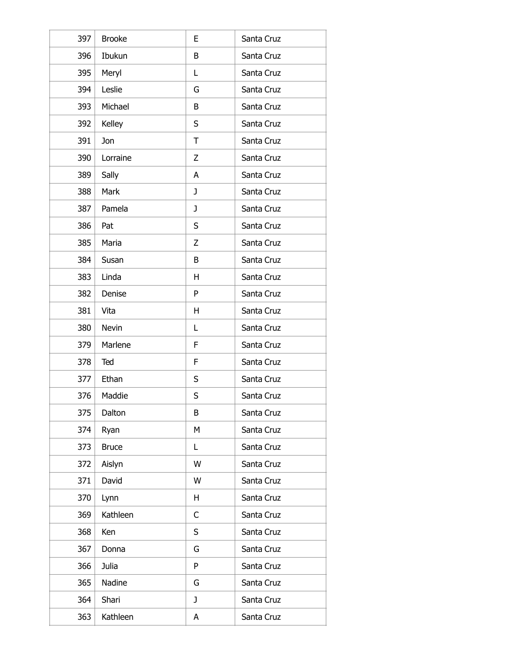| 397 | <b>Brooke</b> | E            | Santa Cruz |
|-----|---------------|--------------|------------|
| 396 | Ibukun        | B            | Santa Cruz |
| 395 | Meryl         | L            | Santa Cruz |
| 394 | Leslie        | G            | Santa Cruz |
| 393 | Michael       | B            | Santa Cruz |
| 392 | Kelley        | S            | Santa Cruz |
| 391 | Jon           | T            | Santa Cruz |
| 390 | Lorraine      | Z            | Santa Cruz |
| 389 | Sally         | A            | Santa Cruz |
| 388 | Mark          | J            | Santa Cruz |
| 387 | Pamela        | J            | Santa Cruz |
| 386 | Pat           | S            | Santa Cruz |
| 385 | Maria         | Z            | Santa Cruz |
| 384 | Susan         | B            | Santa Cruz |
| 383 | Linda         | H            | Santa Cruz |
| 382 | Denise        | P            | Santa Cruz |
| 381 | Vita          | H            | Santa Cruz |
| 380 | <b>Nevin</b>  | L            | Santa Cruz |
| 379 | Marlene       | F            | Santa Cruz |
| 378 | Ted           | F            | Santa Cruz |
| 377 | Ethan         | S            | Santa Cruz |
| 376 | Maddie        | S            | Santa Cruz |
| 375 | Dalton        | B            | Santa Cruz |
| 374 | Ryan          | M            | Santa Cruz |
| 373 | <b>Bruce</b>  | L            | Santa Cruz |
| 372 | Aislyn        | W            | Santa Cruz |
| 371 | David         | W            | Santa Cruz |
| 370 | Lynn          | H            | Santa Cruz |
| 369 | Kathleen      | C            | Santa Cruz |
| 368 | Ken           | S            | Santa Cruz |
| 367 | Donna         | G            | Santa Cruz |
| 366 | Julia         | P            | Santa Cruz |
| 365 | Nadine        | G            | Santa Cruz |
| 364 | Shari         | $\mathbf{J}$ | Santa Cruz |
| 363 | Kathleen      | A            | Santa Cruz |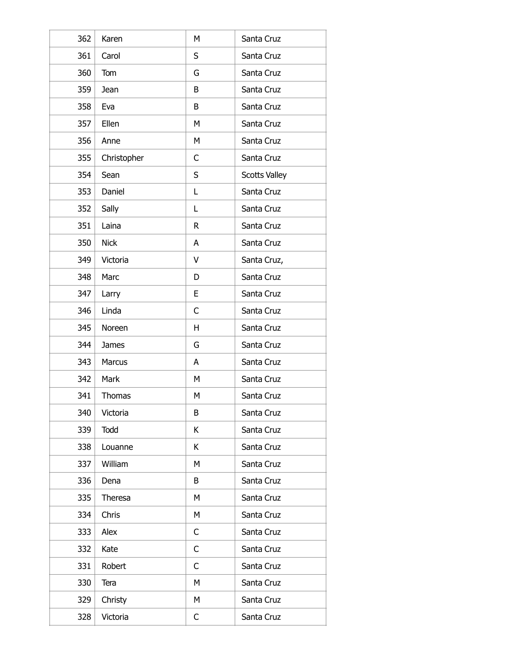| 362 | Karen        | M           | Santa Cruz           |
|-----|--------------|-------------|----------------------|
| 361 | Carol        | S           | Santa Cruz           |
| 360 | Tom          | G           | Santa Cruz           |
| 359 | Jean         | B           | Santa Cruz           |
| 358 | Eva          | B           | Santa Cruz           |
| 357 | Ellen        | М           | Santa Cruz           |
| 356 | Anne         | M           | Santa Cruz           |
| 355 | Christopher  | C           | Santa Cruz           |
| 354 | Sean         | S           | <b>Scotts Valley</b> |
| 353 | Daniel       | L           | Santa Cruz           |
| 352 | Sally        | L           | Santa Cruz           |
| 351 | Laina        | $\mathsf R$ | Santa Cruz           |
| 350 | <b>Nick</b>  | A           | Santa Cruz           |
| 349 | Victoria     | V           | Santa Cruz,          |
| 348 | Marc         | D           | Santa Cruz           |
| 347 | Larry        | E           | Santa Cruz           |
| 346 | Linda        | C           | Santa Cruz           |
| 345 | Noreen       | H           | Santa Cruz           |
| 344 | <b>James</b> | G           | Santa Cruz           |
| 343 | Marcus       | A           | Santa Cruz           |
| 342 | Mark         | M           | Santa Cruz           |
| 341 | Thomas       | M           | Santa Cruz           |
| 340 | Victoria     | B           | Santa Cruz           |
| 339 | Todd         | K           | Santa Cruz           |
| 338 | Louanne      | K           | Santa Cruz           |
| 337 | William      | M           | Santa Cruz           |
| 336 | Dena         | B           | Santa Cruz           |
| 335 | Theresa      | М           | Santa Cruz           |
| 334 | Chris        | M           | Santa Cruz           |
| 333 | Alex         | C           | Santa Cruz           |
| 332 | Kate         | С           | Santa Cruz           |
| 331 | Robert       | C           | Santa Cruz           |
| 330 | Tera         | M           | Santa Cruz           |
| 329 | Christy      | М           | Santa Cruz           |
| 328 | Victoria     | C           | Santa Cruz           |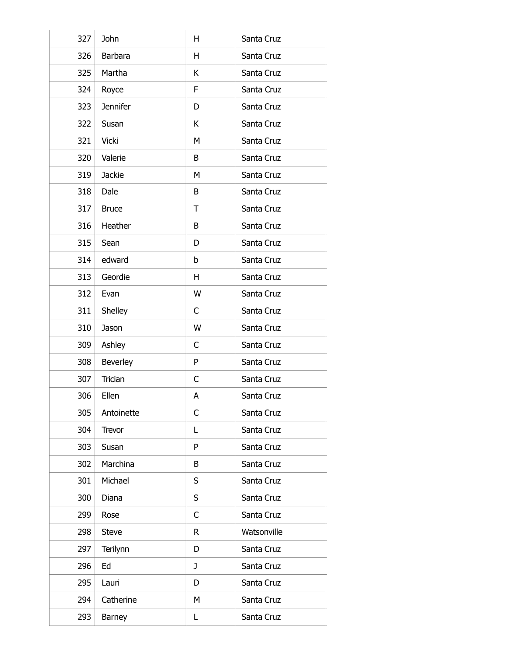| 327 | John            | H           | Santa Cruz  |
|-----|-----------------|-------------|-------------|
| 326 | Barbara         | H           | Santa Cruz  |
| 325 | Martha          | K           | Santa Cruz  |
| 324 | Royce           | F           | Santa Cruz  |
| 323 | <b>Jennifer</b> | D           | Santa Cruz  |
| 322 | Susan           | K           | Santa Cruz  |
| 321 | <b>Vicki</b>    | М           | Santa Cruz  |
| 320 | Valerie         | B           | Santa Cruz  |
| 319 | <b>Jackie</b>   | М           | Santa Cruz  |
| 318 | Dale            | B           | Santa Cruz  |
| 317 | <b>Bruce</b>    | T           | Santa Cruz  |
| 316 | Heather         | B           | Santa Cruz  |
| 315 | Sean            | D           | Santa Cruz  |
| 314 | edward          | b           | Santa Cruz  |
| 313 | Geordie         | H           | Santa Cruz  |
| 312 | Evan            | W           | Santa Cruz  |
| 311 | Shelley         | C           | Santa Cruz  |
| 310 | Jason           | W           | Santa Cruz  |
| 309 | Ashley          | C           | Santa Cruz  |
| 308 | Beverley        | P           | Santa Cruz  |
| 307 | Trician         | C           | Santa Cruz  |
| 306 | Ellen           | Α           | Santa Cruz  |
| 305 | Antoinette      | C           | Santa Cruz  |
| 304 | Trevor          | L           | Santa Cruz  |
| 303 | Susan           | P           | Santa Cruz  |
| 302 | Marchina        | B           | Santa Cruz  |
| 301 | Michael         | S           | Santa Cruz  |
| 300 | Diana           | S           | Santa Cruz  |
| 299 | Rose            | C           | Santa Cruz  |
| 298 | <b>Steve</b>    | $\mathsf R$ | Watsonville |
| 297 | Terilynn        | D           | Santa Cruz  |
| 296 | Ed              | J           | Santa Cruz  |
| 295 | Lauri           | D           | Santa Cruz  |
| 294 | Catherine       | M           | Santa Cruz  |
| 293 | Barney          | Г           | Santa Cruz  |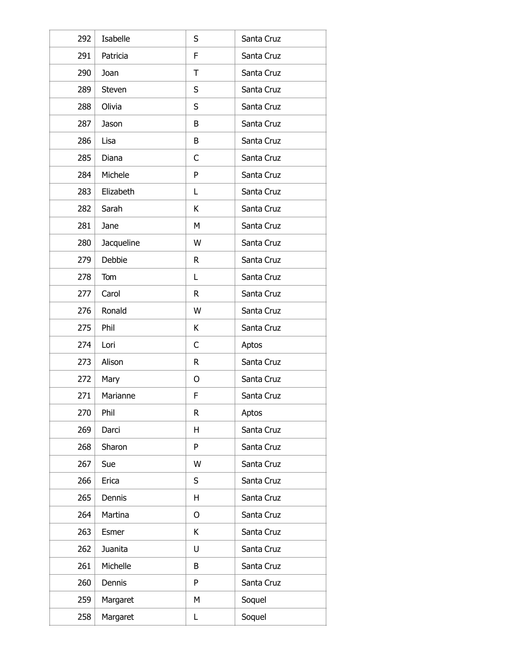| 292 | Isabelle   | S            | Santa Cruz |
|-----|------------|--------------|------------|
| 291 | Patricia   | F            | Santa Cruz |
| 290 | Joan       | Τ            | Santa Cruz |
| 289 | Steven     | S            | Santa Cruz |
| 288 | Olivia     | S            | Santa Cruz |
| 287 | Jason      | B            | Santa Cruz |
| 286 | Lisa       | B            | Santa Cruz |
| 285 | Diana      | C            | Santa Cruz |
| 284 | Michele    | P            | Santa Cruz |
| 283 | Elizabeth  | Г            | Santa Cruz |
| 282 | Sarah      | К            | Santa Cruz |
| 281 | Jane       | М            | Santa Cruz |
| 280 | Jacqueline | W            | Santa Cruz |
| 279 | Debbie     | $\mathsf{R}$ | Santa Cruz |
| 278 | Tom        | Г            | Santa Cruz |
| 277 | Carol      | R            | Santa Cruz |
| 276 | Ronald     | W            | Santa Cruz |
| 275 | Phil       | K            | Santa Cruz |
| 274 | Lori       | С            | Aptos      |
| 273 | Alison     | R            | Santa Cruz |
| 272 | Mary       | O            | Santa Cruz |
| 271 | Marianne   | F            | Santa Cruz |
| 270 | Phil       | $\mathsf{R}$ | Aptos      |
| 269 | Darci      | H            | Santa Cruz |
| 268 | Sharon     | P            | Santa Cruz |
| 267 | Sue        | W            | Santa Cruz |
| 266 | Erica      | S            | Santa Cruz |
| 265 | Dennis     | H            | Santa Cruz |
| 264 | Martina    | O            | Santa Cruz |
| 263 | Esmer      | K            | Santa Cruz |
| 262 | Juanita    | U            | Santa Cruz |
| 261 | Michelle   | B            | Santa Cruz |
| 260 | Dennis     | P            | Santa Cruz |
| 259 | Margaret   | M            | Soquel     |
| 258 | Margaret   | Г            | Soquel     |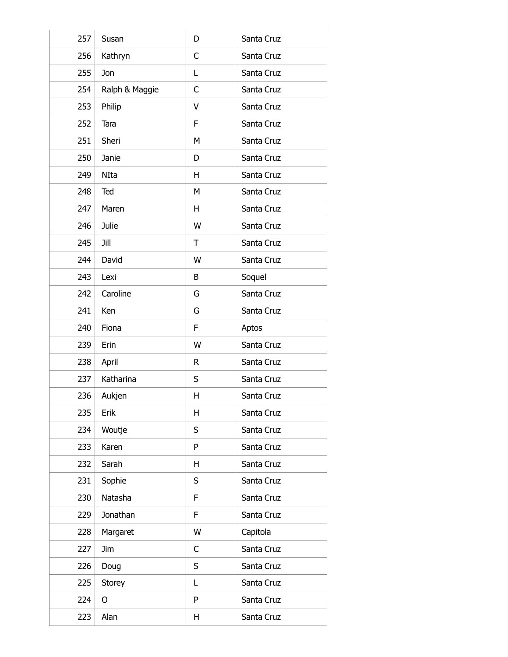| 257 | Susan          | D | Santa Cruz |
|-----|----------------|---|------------|
| 256 | Kathryn        | C | Santa Cruz |
| 255 | Jon            | Г | Santa Cruz |
| 254 | Ralph & Maggie | C | Santa Cruz |
| 253 | Philip         | V | Santa Cruz |
| 252 | Tara           | F | Santa Cruz |
| 251 | Sheri          | M | Santa Cruz |
| 250 | Janie          | D | Santa Cruz |
| 249 | NIta           | H | Santa Cruz |
| 248 | Ted            | М | Santa Cruz |
| 247 | Maren          | H | Santa Cruz |
| 246 | Julie          | W | Santa Cruz |
| 245 | Jill           | T | Santa Cruz |
| 244 | David          | W | Santa Cruz |
| 243 | Lexi           | B | Soquel     |
| 242 | Caroline       | G | Santa Cruz |
| 241 | Ken            | G | Santa Cruz |
| 240 | Fiona          | F | Aptos      |
| 239 | Erin           | W | Santa Cruz |
| 238 | April          | R | Santa Cruz |
| 237 | Katharina      | S | Santa Cruz |
| 236 | Aukjen         | Н | Santa Cruz |
| 235 | Erik           | Н | Santa Cruz |
| 234 | Woutje         | S | Santa Cruz |
| 233 | Karen          | P | Santa Cruz |
| 232 | Sarah          | H | Santa Cruz |
| 231 | Sophie         | S | Santa Cruz |
| 230 | Natasha        | F | Santa Cruz |
| 229 | Jonathan       | F | Santa Cruz |
| 228 | Margaret       | W | Capitola   |
| 227 | <b>Jim</b>     | С | Santa Cruz |
| 226 | Doug           | S | Santa Cruz |
| 225 | <b>Storey</b>  | Г | Santa Cruz |
| 224 | O              | P | Santa Cruz |
| 223 | Alan           | Н | Santa Cruz |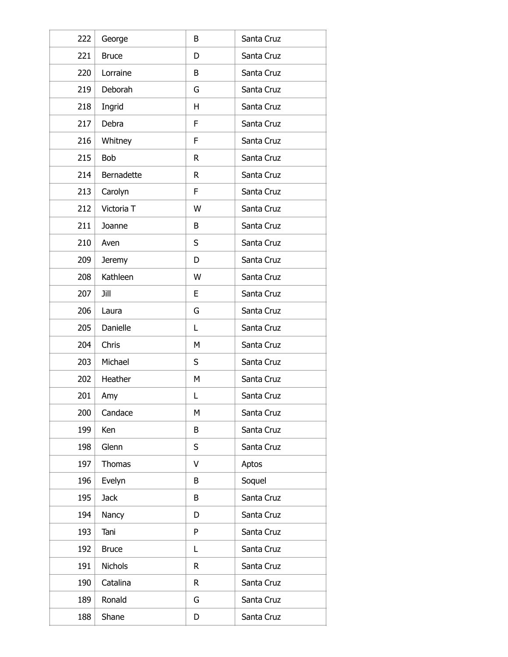| 222 | George        | B | Santa Cruz |
|-----|---------------|---|------------|
| 221 | <b>Bruce</b>  | D | Santa Cruz |
| 220 | Lorraine      | B | Santa Cruz |
| 219 | Deborah       | G | Santa Cruz |
| 218 | Ingrid        | H | Santa Cruz |
| 217 | Debra         | F | Santa Cruz |
| 216 | Whitney       | F | Santa Cruz |
| 215 | Bob           | R | Santa Cruz |
| 214 | Bernadette    | R | Santa Cruz |
| 213 | Carolyn       | F | Santa Cruz |
| 212 | Victoria T    | W | Santa Cruz |
| 211 | Joanne        | B | Santa Cruz |
| 210 | Aven          | S | Santa Cruz |
| 209 | <b>Jeremy</b> | D | Santa Cruz |
| 208 | Kathleen      | W | Santa Cruz |
| 207 | Jill          | E | Santa Cruz |
| 206 | Laura         | G | Santa Cruz |
| 205 | Danielle      | Г | Santa Cruz |
| 204 | Chris         | М | Santa Cruz |
| 203 | Michael       | S | Santa Cruz |
| 202 | Heather       | M | Santa Cruz |
| 201 | Amy           | L | Santa Cruz |
| 200 | Candace       | М | Santa Cruz |
| 199 | Ken           | B | Santa Cruz |
| 198 | Glenn         | S | Santa Cruz |
| 197 | <b>Thomas</b> | V | Aptos      |
| 196 | Evelyn        | B | Soquel     |
| 195 | <b>Jack</b>   | B | Santa Cruz |
| 194 | Nancy         | D | Santa Cruz |
| 193 | Tani          | P | Santa Cruz |
| 192 | <b>Bruce</b>  | L | Santa Cruz |
| 191 | Nichols       | R | Santa Cruz |
| 190 | Catalina      | R | Santa Cruz |
| 189 | Ronald        | G | Santa Cruz |
| 188 | Shane         | D | Santa Cruz |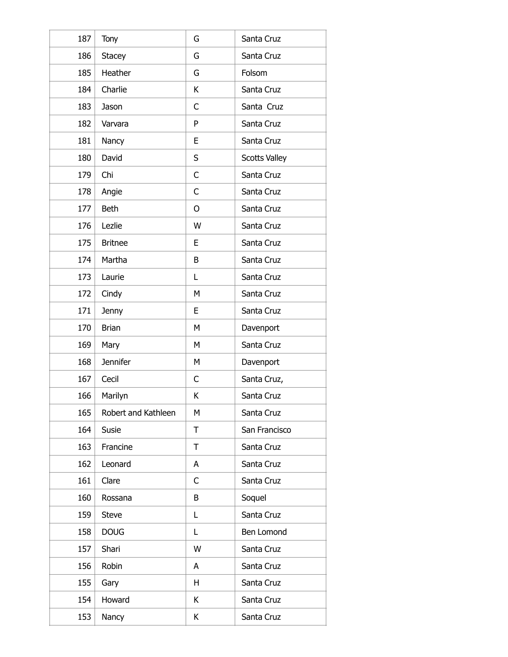| 187 | <b>Tony</b>         | G | Santa Cruz           |
|-----|---------------------|---|----------------------|
| 186 | <b>Stacey</b>       | G | Santa Cruz           |
| 185 | Heather             | G | Folsom               |
| 184 | Charlie             | К | Santa Cruz           |
| 183 | Jason               | C | Santa Cruz           |
| 182 | Varvara             | P | Santa Cruz           |
| 181 | Nancy               | E | Santa Cruz           |
| 180 | David               | S | <b>Scotts Valley</b> |
| 179 | Chi                 | C | Santa Cruz           |
| 178 | Angie               | C | Santa Cruz           |
| 177 | <b>Beth</b>         | O | Santa Cruz           |
| 176 | Lezlie              | W | Santa Cruz           |
| 175 | <b>Britnee</b>      | E | Santa Cruz           |
| 174 | Martha              | B | Santa Cruz           |
| 173 | Laurie              | L | Santa Cruz           |
| 172 | Cindy               | M | Santa Cruz           |
| 171 | Jenny               | E | Santa Cruz           |
| 170 | <b>Brian</b>        | M | Davenport            |
| 169 | Mary                | М | Santa Cruz           |
| 168 | <b>Jennifer</b>     | M | Davenport            |
| 167 | Cecil               | C | Santa Cruz,          |
| 166 | Marilyn             | Κ | Santa Cruz           |
| 165 | Robert and Kathleen | М | Santa Cruz           |
| 164 | Susie               | T | San Francisco        |
| 163 | Francine            | T | Santa Cruz           |
| 162 | Leonard             | A | Santa Cruz           |
| 161 | Clare               | C | Santa Cruz           |
| 160 | Rossana             | B | Soquel               |
| 159 | <b>Steve</b>        | L | Santa Cruz           |
| 158 | <b>DOUG</b>         | L | Ben Lomond           |
| 157 | Shari               | W | Santa Cruz           |
| 156 | Robin               | A | Santa Cruz           |
| 155 | Gary                | H | Santa Cruz           |
| 154 | Howard              | K | Santa Cruz           |
| 153 | Nancy               | Κ | Santa Cruz           |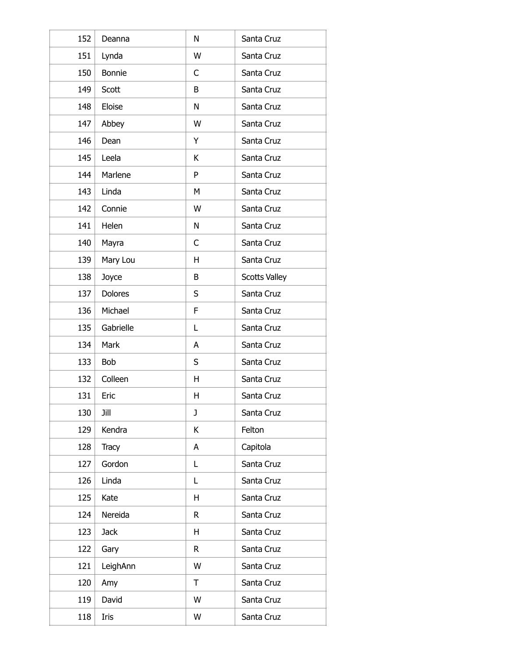| 152 | Deanna         | N | Santa Cruz           |
|-----|----------------|---|----------------------|
| 151 | Lynda          | W | Santa Cruz           |
| 150 | <b>Bonnie</b>  | C | Santa Cruz           |
| 149 | Scott          | B | Santa Cruz           |
| 148 | Eloise         | N | Santa Cruz           |
| 147 | Abbey          | W | Santa Cruz           |
| 146 | Dean           | Y | Santa Cruz           |
| 145 | Leela          | К | Santa Cruz           |
| 144 | Marlene        | P | Santa Cruz           |
| 143 | Linda          | М | Santa Cruz           |
| 142 | Connie         | W | Santa Cruz           |
| 141 | Helen          | N | Santa Cruz           |
| 140 | Mayra          | C | Santa Cruz           |
| 139 | Mary Lou       | H | Santa Cruz           |
| 138 | Joyce          | B | <b>Scotts Valley</b> |
| 137 | <b>Dolores</b> | S | Santa Cruz           |
| 136 | Michael        | F | Santa Cruz           |
| 135 | Gabrielle      | Г | Santa Cruz           |
| 134 | Mark           | Α | Santa Cruz           |
| 133 | Bob            | S | Santa Cruz           |
| 132 | Colleen        | H | Santa Cruz           |
| 131 | Eric           | Н | Santa Cruz           |
| 130 | Jill           | J | Santa Cruz           |
| 129 | Kendra         | Κ | Felton               |
| 128 | <b>Tracy</b>   | A | Capitola             |
| 127 | Gordon         | L | Santa Cruz           |
| 126 | Linda          | L | Santa Cruz           |
| 125 | Kate           | H | Santa Cruz           |
| 124 | Nereida        | R | Santa Cruz           |
| 123 | <b>Jack</b>    | H | Santa Cruz           |
| 122 | Gary           | R | Santa Cruz           |
| 121 | LeighAnn       | W | Santa Cruz           |
| 120 | Amy            | Τ | Santa Cruz           |
| 119 | David          | W | Santa Cruz           |
| 118 | Iris           | W | Santa Cruz           |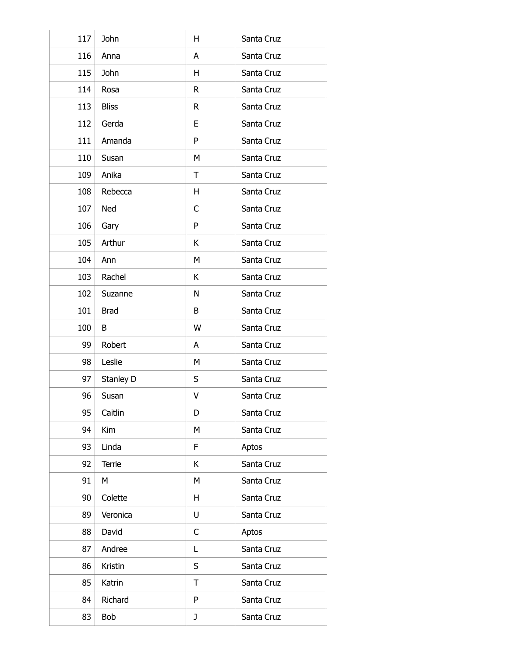| 117 | John         | H            | Santa Cruz |
|-----|--------------|--------------|------------|
| 116 | Anna         | A            | Santa Cruz |
| 115 | John         | H            | Santa Cruz |
| 114 | Rosa         | R            | Santa Cruz |
| 113 | <b>Bliss</b> | $\mathsf{R}$ | Santa Cruz |
| 112 | Gerda        | E            | Santa Cruz |
| 111 | Amanda       | P            | Santa Cruz |
| 110 | Susan        | M            | Santa Cruz |
| 109 | Anika        | T            | Santa Cruz |
| 108 | Rebecca      | H            | Santa Cruz |
| 107 | Ned          | C            | Santa Cruz |
| 106 | Gary         | P            | Santa Cruz |
| 105 | Arthur       | K            | Santa Cruz |
| 104 | Ann          | M            | Santa Cruz |
| 103 | Rachel       | K            | Santa Cruz |
| 102 | Suzanne      | N            | Santa Cruz |
| 101 | <b>Brad</b>  | B            | Santa Cruz |
| 100 | B            | W            | Santa Cruz |
| 99  | Robert       | A            | Santa Cruz |
| 98  | Leslie       | М            | Santa Cruz |
| 97  | Stanley D    | S            | Santa Cruz |
| 96  | Susan        | V            | Santa Cruz |
| 95  | Caitlin      | D            | Santa Cruz |
| 94  | Kim          | M            | Santa Cruz |
| 93  | Linda        | F            | Aptos      |
| 92  | Terrie       | K            | Santa Cruz |
| 91  | М            | M            | Santa Cruz |
| 90  | Colette      | H            | Santa Cruz |
| 89  | Veronica     | U            | Santa Cruz |
| 88  | David        | $\mathsf{C}$ | Aptos      |
| 87  | Andree       | L            | Santa Cruz |
| 86  | Kristin      | S            | Santa Cruz |
| 85  | Katrin       | T            | Santa Cruz |
| 84  | Richard      | P            | Santa Cruz |
| 83  | Bob          | J            | Santa Cruz |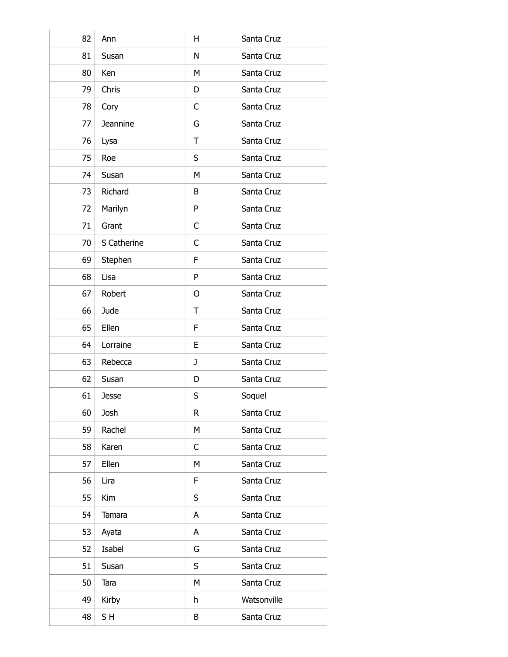| 82 | Ann          | H | Santa Cruz  |
|----|--------------|---|-------------|
| 81 | Susan        | N | Santa Cruz  |
| 80 | Ken          | М | Santa Cruz  |
| 79 | Chris        | D | Santa Cruz  |
| 78 | Cory         | C | Santa Cruz  |
| 77 | Jeannine     | G | Santa Cruz  |
| 76 | Lysa         | T | Santa Cruz  |
| 75 | Roe          | S | Santa Cruz  |
| 74 | Susan        | M | Santa Cruz  |
| 73 | Richard      | B | Santa Cruz  |
| 72 | Marilyn      | P | Santa Cruz  |
| 71 | Grant        | C | Santa Cruz  |
| 70 | S Catherine  | C | Santa Cruz  |
| 69 | Stephen      | F | Santa Cruz  |
| 68 | Lisa         | P | Santa Cruz  |
| 67 | Robert       | 0 | Santa Cruz  |
| 66 | Jude         | T | Santa Cruz  |
| 65 | Ellen        | F | Santa Cruz  |
| 64 | Lorraine     | E | Santa Cruz  |
| 63 | Rebecca      | J | Santa Cruz  |
| 62 | Susan        | D | Santa Cruz  |
| 61 | <b>Jesse</b> | S | Soquel      |
| 60 | Josh         | R | Santa Cruz  |
| 59 | Rachel       | M | Santa Cruz  |
| 58 | Karen        | C | Santa Cruz  |
| 57 | Ellen        | M | Santa Cruz  |
| 56 | Lira         | F | Santa Cruz  |
| 55 | Kim          | S | Santa Cruz  |
| 54 | Tamara       | A | Santa Cruz  |
| 53 | Ayata        | A | Santa Cruz  |
| 52 | Isabel       | G | Santa Cruz  |
| 51 | Susan        | S | Santa Cruz  |
| 50 | Tara         | M | Santa Cruz  |
| 49 | Kirby        | h | Watsonville |
| 48 | SH           | Β | Santa Cruz  |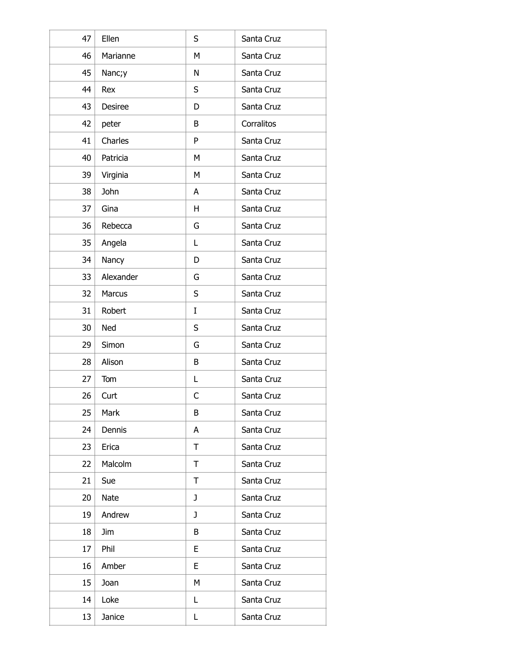| 47 | Ellen          | S | Santa Cruz |
|----|----------------|---|------------|
| 46 | Marianne       | М | Santa Cruz |
| 45 | Nanc;y         | N | Santa Cruz |
| 44 | Rex            | S | Santa Cruz |
| 43 | <b>Desiree</b> | D | Santa Cruz |
| 42 | peter          | B | Corralitos |
| 41 | Charles        | P | Santa Cruz |
| 40 | Patricia       | M | Santa Cruz |
| 39 | Virginia       | M | Santa Cruz |
| 38 | John           | A | Santa Cruz |
| 37 | Gina           | H | Santa Cruz |
| 36 | Rebecca        | G | Santa Cruz |
| 35 | Angela         | Г | Santa Cruz |
| 34 | Nancy          | D | Santa Cruz |
| 33 | Alexander      | G | Santa Cruz |
| 32 | Marcus         | S | Santa Cruz |
| 31 | Robert         | I | Santa Cruz |
| 30 | Ned            | S | Santa Cruz |
| 29 | Simon          | G | Santa Cruz |
| 28 | Alison         | B | Santa Cruz |
| 27 | Tom            | L | Santa Cruz |
| 26 | Curt           | С | Santa Cruz |
| 25 | Mark           | B | Santa Cruz |
| 24 | Dennis         | A | Santa Cruz |
| 23 | Erica          | T | Santa Cruz |
| 22 | Malcolm        | T | Santa Cruz |
| 21 | Sue            | T | Santa Cruz |
| 20 | Nate           | J | Santa Cruz |
| 19 | Andrew         | J | Santa Cruz |
| 18 | <b>Jim</b>     | B | Santa Cruz |
| 17 | Phil           | E | Santa Cruz |
| 16 | Amber          | E | Santa Cruz |
| 15 | Joan           | M | Santa Cruz |
| 14 | Loke           | L | Santa Cruz |
| 13 | Janice         | L | Santa Cruz |